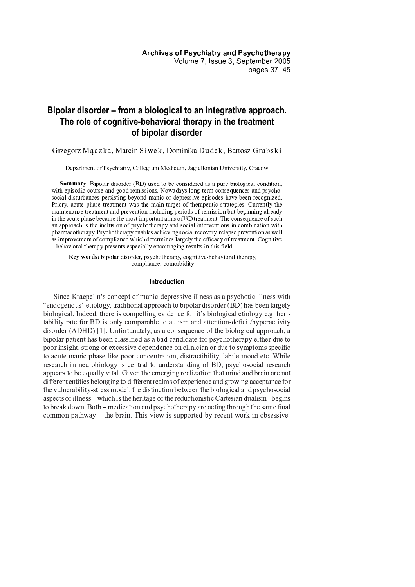# **Bipolar disorder – from a biological to an integrative approach. The role of cognitive-behavioral therapy in the treatment of bipolar disorder**

Grzegorz Mączka, Marcin Siwek, Dominika Dudek, Bartosz Grabski

Department of Psychiatry, Collegium Medicum, Jagiellonian University, Cracow

[ \ ] ] ^ \_ ` <sup>a</sup> <sup>b</sup> <sup>O</sup> <sup>B</sup> <sup>H</sup> <sup>R</sup> <sup>C</sup> <sup>D</sup> <sup>V</sup> <sup>O</sup> <sup>K</sup> <sup>H</sup> <sup>D</sup> <sup>V</sup> <sup>A</sup> <sup>D</sup> <sup>c</sup> <sup>b</sup> @ <sup>d</sup> <sup>T</sup> <sup>K</sup> <sup>A</sup> <sup>V</sup> <sup>E</sup> <sup>H</sup> <sup>e</sup> <sup>A</sup> <sup>M</sup> <sup>H</sup> <sup>G</sup> <sup>K</sup> <sup>O</sup> <sup>V</sup> <sup>A</sup> <sup>D</sup> <sup>A</sup> <sup>V</sup> <sup>C</sup> <sup>K</sup> <sup>C</sup> <sup>B</sup> <sup>T</sup> <sup>D</sup> <sup>A</sup> <sup>e</sup> <sup>O</sup> <sup>H</sup> <sup>R</sup> <sup>H</sup> <sup>S</sup> <sup>O</sup> <sup>M</sup> <sup>C</sup> <sup>R</sup> <sup>M</sup> <sup>H</sup> <sup>G</sup> <sup>V</sup> <sup>O</sup> <sup>E</sup> <sup>O</sup> <sup>H</sup> <sup>G</sup> <sup>P</sup> with episodic course and good remissions. Nowadays long-term consequences and psychosocial disturbances persisting beyond manic or depressive episodes have been recognized. Priory, acute phase treatment was the main target of the apeutic strategies. Currently the maintenance treatment and prevention including periods of remission but beginning already in the acute phase became the most important aims of BD treatment. The consequence of such an approach is the inclusion of psychotherapy and social interventions in combination with pharmacotherapy. Psychotherapy enables achieving social recovery, relapse prevention as well as improvement of compliance which determines largely the efficacy of treatment. Cognitive he havioral therany presents especially encouraging results in this field

Key words: bipolar disorder, psychotherapy, cognitive-behavioral therapy, compliance, comorbidity

# **Introduction**

Since Kraepelin's concept of manic-depressive illness as a psychotic illness with "endogenous" etiology, traditional approach to bipolar disorder  $(BD)$  has been largely biological. Indeed, there is compelling evidence for it's biological etiology e.g. heritability rate for BD is only comparable to autism and attention-deficit/hyperactivity  $\alpha$  disorder (ADHD) [1]. Unfortunately, as a consequence of the biological approach, a bipolar patient has been classified as a bad candidate for psychotherapy either due to poor insight, strong or excessive dependence on clinician or due to symptoms specific to acute manic phase like poor concentration, distractibility, labile mood etc. While research in neurobiology is central to understanding of BD, psychosocial research appears to be equally vital. Given the emerging realization that mind and brain are not different entities belonging to different realms of experience and growing acceptance for the vulnerability-stress model, the distinction between the biological and psychosocial aspects of illness – which is the heritage of the reductionistic Cartesian dualism - begins to break down. Both – medication and psychotherapy are acting through the same final common pathway – the brain. This view is supported by recent work in obsessive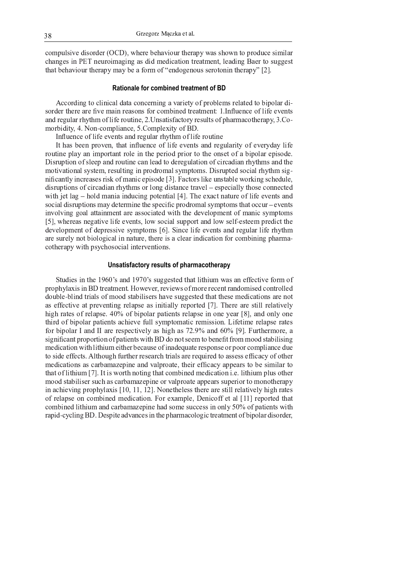compulsive disorder (OCD), where behaviour therapy was shown to produce similar changes in PET neuroimaging as did medication treatment, leading Baer to suggest that behaviour therapy may be a form of "endogenous serotonin therapy" [2].

# **Rationale for combined treatment of BD**

A sosudina to sliminal doto somesmina o voviety of nucleone voleted to hinalev di sorder there are five main reasons for combined treatment: 1. Influence of life events  $\blacksquare$ i librojn antika u fi al a $\lhd$ morbidity, 4. Non-compliance, 5. Complexity of BD.

Influence of life events and regular rhythm of life routine

It has been proven, that influence of life events and regularity of everyday life routine play an important role in the period prior to the onset of a bipolar episode. Disruption of sleep and routine can lead to deregulation of circadian rhythms and the motivational system, resulting in prodromal symptoms. Disrupted social rhythm significantly in quegas nigly ef menic enigade [2]. Esetene lilye ynatokle weglying achedyle disruptions of circadian rhythms or long distance travel – especially those connected with jet  $lag - hold$  mania inducing potential  $[4]$ . The exact nature of life events and social disruptions may determine the specific prodromal symptoms that occur – events involving goal attainment are associated with the development of manic symptoms  $[5]$ , whereas negative life events, low social support and low self-esteem predict the development of depressive symptoms [6]. Since life events and regular life rhythm are surely not biological in nature, there is a clear indication for combining pharmacotherapy with psychosocial interventions.

# **Unsatisfactory results of pharmacotherapy**

Studies in the 1960's and 1970's suggested that lithium was an effective form of prophylaxis in BD treatment. However, reviews of more recent randomised controlled double-blind trials of mood stabilisers have suggested that these medications are not as effective at preventing relapse as initially reported [7]. There are still relatively high notas af nolanga. 100/ af hinalan notiants nolanga in ana vaon [0] and anly an third of bipolar patients achieve full symptomatic remission. Lifetime relapse rates for bipolar I and II are respectively as high as  $72.9\%$  and  $60\%$  [9]. Furthermore, a significant proportion of patients with BD do not seem to benefit from mood stabilising medication with lithium either because of inadequate response or poor compliance due  $\star$  aide effects. A like web further research trials are required to general effects of other medications as carbamazepine and valproate, their efficacy appears to be similar to that of lithium [7]. It is worth noting that combined medication *i.e.* lithium plus other mood stabiliser such as carbamazepine or valproate appears superior to monotherapy in achieving prophylaxis [10, 11, 12]. Nonetheless there are still relatively high rates of relapse on combined medication. For example, Denicoff et al [11] reported that combined lithium and carbamazepine had some success in only 50% of patients with rapid-cycling BD. Despite advances in the pharmacologic treatment of bipolar disorder,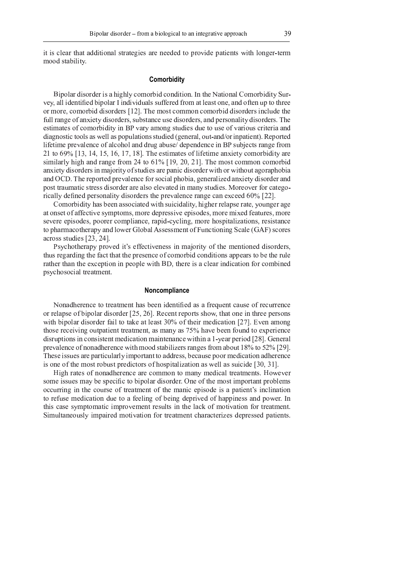it is clear that additional strategies are needed to provide patients with longer-term mood stability.

# Comorbidity

Bipolar disorder is a highly comorbid condition. In the National Comorbidity Survey, all identified bipolar I individuals suffered from at least one, and often up to three or more, comorbid disorders [12]. The most common comorbid disorders include the full range of anxiety disorders, substance use disorders, and personality disorders. The estimates of comorbidity in BP vary among studies due to use of various criteria and diagnostic tools as well as populations studied (general, out-and/or inpatient). Reported lifetime prevalence of alcohol and drug abuse/dependence in BP subjects range from 21 to  $69\%$  [13, 14, 15, 16, 17, 18]. The estimates of lifetime anxiety comorbidity are similarly high and range from 24 to  $61\%$  [19, 20, 21]. The most common comorbid anxiety disorders in majority of studies are panic disorder with or without agoraphobia and OCD. The reported prevalence for social phobia, generalized anxiety disorder and post traumatic stress disorder are also elevated in many studies. Moreover for categorically defined personality disorders the prevalence range can exceed 60% [22].

Comorbidity has been associated with suicidality, higher relapse rate, younger age at onset of affective symptoms, more depressive episodes, more mixed features, more severe episodes, poorer compliance, rapid-cycling, more hospitalizations, resistance to pharmacotherapy and lower Global Assessment of Functioning Scale (GAF) scores across studies [23, 24].

Psychotherapy proved it's effectiveness in majority of the mentioned disorders, thus regarding the fact that the presence of comorbid conditions appears to be the rule rather than the exception in people with BD, there is a clear indication for combined psychosocial treatment.

### Noncompliance

Nonadherence to treatment has been identified as a frequent cause of recurrence or relapse of bipolar disorder [25, 26]. Recent reports show, that one in three persons with bipolar disorder fail to take at least 30% of their medication [27]. Even among those receiving outpatient treatment, as many as 75% have been found to experience disruptions in consistent medication maintenance within a 1-year period [28]. General prevalence of nonadherence with mood stabilizers ranges from about 18% to 52% [29]. These issues are particularly important to address, because poor medication adherence is one of the most robust predictors of hospitalization as well as suicide [30, 31].

High rates of nonadherence are common to many medical treatments. However some issues may be specific to bipolar disorder. One of the most important problems occurring in the course of treatment of the manic episode is a patient's inclination to refuse medication due to a feeling of being deprived of happiness and power. In this case symptomatic improvement results in the lack of motivation for treatment. Simultaneously impaired motivation for treatment characterizes depressed patients.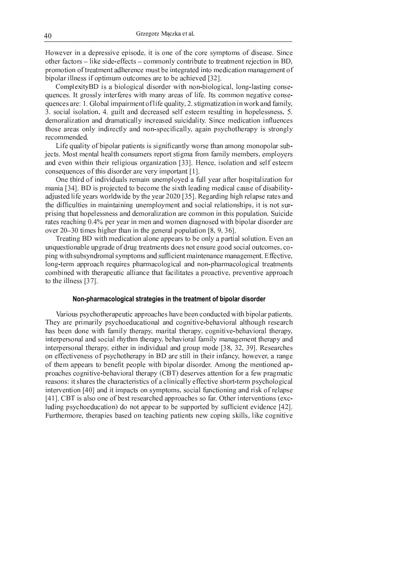$\bf{r}$  , and a f a f a f a f a f a f a f a f  $\bf{r}$  i d a f  $\bf{r}$  i d a f  $\bf{r}$  and a f  $\bf{r}$ 

~ <sup>w</sup> <sup>x</sup> <sup>a</sup> <sup>f</sup> <sup>c</sup> <sup>t</sup> <sup>a</sup> \ <sup>q</sup> \ <sup>y</sup> <sup>a</sup> <sup>k</sup> <sup>c</sup> <sup>q</sup> <sup>d</sup> <sup>a</sup> <sup>f</sup> \ ` <sup>d</sup> ^ ` ] <sup>a</sup> <sup>h</sup> <sup>j</sup> <sup>b</sup> \ <sup>b</sup> <sup>s</sup> <sup>t</sup> <sup>a</sup> \ <sup>q</sup> \ <sup>y</sup> <sup>a</sup> <sup>k</sup> <sup>c</sup> <sup>q</sup> <sup>g</sup> <sup>q</sup> \ <sup>b</sup> <sup>y</sup> <sup>s</sup> <sup>q</sup> <sup>c</sup> <sup>f</sup> <sup>h</sup> <sup>a</sup> <sup>b</sup> <sup>y</sup> <sup>k</sup> \ <sup>b</sup> <sup>f</sup> ^ <sup>s</sup> where the figure of the figure is fall discussed below that  $\mathcal{L}$  if  $\mathcal{L}$  . The conditional probability of  $\mathcal{L}$  is the f  $m \cos \alpha$  and  $\Gamma$  or algorithm equator of life quality  $\gamma$  at quastivation in weak and family { <sup>n</sup> <sup>f</sup> \ <sup>k</sup> <sup>a</sup> <sup>c</sup> <sup>q</sup> <sup>a</sup> <sup>f</sup> \ <sup>q</sup> <sup>c</sup> <sup>h</sup> <sup>a</sup> \ <sup>b</sup> <sup>g</sup> <sup>Y</sup> n <sup>y</sup> <sup>u</sup> <sup>a</sup> <sup>q</sup> <sup>h</sup> <sup>c</sup> <sup>b</sup> <sup>d</sup> <sup>d</sup> ^ <sup>k</sup> ` ^ <sup>c</sup> <sup>f</sup> ^ <sup>d</sup> <sup>f</sup> ^ <sup>q</sup> <sup>i</sup> ^ <sup>f</sup> <sup>h</sup> ^ ^ <sup>m</sup> ` ^ <sup>f</sup> <sup>u</sup> <sup>q</sup> <sup>h</sup> <sup>a</sup> <sup>b</sup> <sup>y</sup> <sup>a</sup> <sup>b</sup> <sup>j</sup> \ <sup>e</sup> ^ <sup>q</sup> ^ <sup>f</sup> <sup>f</sup> <sup>b</sup> ^ <sup>f</sup> <sup>f</sup> <sup>g</sup> <sup>n</sup>  $\mathcal{L} \left( \mathcal{L} \right)$  and  $\mathcal{L} \left( \mathcal{L} \right)$ 

 $\bf{T}$  if a decrease the contribution of the state is and the contribution of the state of the state of the state  $v$  is the finite matrix of the finite matrix  $v$  is the finite matrix of  $v$  and  $v$  f  $m$  m e  $p$  f  $q$  m e  $q$  f  $q$  f  $q$  m e  $q$  f  $q$  f  $q$  f  $q$  f  $q$  f  $q$  f  $q$  f  $q$  f  $q$  f  $q$  f  $q$  f  $q$  f  $q$  f  $q$  f  $q$  f  $k \ge 0$  k  $k \ge 0$  for a function  $\mathcal{L}$  and  $\mathcal{L}$  is a fixed and  $\mathcal{L}$  . Then exists  $\mathcal{L}$  and  $\mathcal{L}$  is a set of  $\mathcal{L}$ 

 $\alpha$  and a contribution of the contribution of the contribution of the anti-induced contribution of the anti-induced contribution of the contribution of the contribution of the contribution of the contribution of the cont m <sup>c</sup> <sup>b</sup> <sup>a</sup> <sup>c</sup> <sup>z</sup> { Y } <sup>n</sup> <sup>w</sup> <sup>x</sup> <sup>a</sup> <sup>f</sup> <sup>e</sup> ` \ <sup>v</sup> ^ <sup>k</sup> <sup>h</sup> ^ <sup>d</sup> <sup>h</sup> \ <sup>t</sup> ^ <sup>k</sup> \ <sup>m</sup> ^ <sup>h</sup> <sup>j</sup> ^ <sup>f</sup> <sup>a</sup> <sup>h</sup> <sup>j</sup> <sup>q</sup> ^ <sup>c</sup> <sup>d</sup> <sup>a</sup> <sup>b</sup> <sup>y</sup> <sup>m</sup> ^ <sup>d</sup> <sup>a</sup> <sup>k</sup> <sup>c</sup> <sup>q</sup> <sup>k</sup> <sup>c</sup> <sup>u</sup> <sup>f</sup> ^ \ <sup>i</sup> <sup>d</sup> <sup>a</sup> <sup>f</sup> <sup>c</sup> <sup>t</sup> <sup>a</sup> <sup>q</sup> <sup>a</sup> <sup>h</sup> <sup>l</sup> <sup>s</sup>  $\alpha$  in the state of the large  $\alpha$  and  $\alpha$  and  $\alpha$  is the finite function of  $\alpha$  in the following  $\alpha$  is the following  $\alpha$  of  $\alpha$  in the following  $\alpha$  of  $\alpha$  is the following  $\alpha$  of  $\alpha$  is the following  $\alpha$  of h <sup>j</sup> ^ <sup>d</sup> <sup>a</sup> <sup>i</sup> <sup>k</sup> <sup>u</sup> <sup>q</sup> <sup>h</sup> <sup>a</sup> ^ <sup>f</sup> <sup>a</sup> <sup>b</sup> <sup>m</sup> <sup>c</sup> <sup>a</sup> <sup>b</sup> <sup>h</sup> <sup>c</sup> <sup>a</sup> <sup>b</sup> <sup>a</sup> <sup>b</sup> <sup>y</sup> <sup>u</sup> <sup>b</sup> ^ <sup>m</sup> <sup>e</sup> <sup>q</sup> \ <sup>l</sup> <sup>m</sup> ^ <sup>b</sup> <sup>h</sup> <sup>c</sup> <sup>b</sup> <sup>d</sup> <sup>f</sup> \ <sup>k</sup> <sup>a</sup> <sup>c</sup> <sup>q</sup> ` ^ <sup>q</sup> <sup>c</sup> <sup>h</sup> <sup>a</sup> \ <sup>b</sup> <sup>f</sup> <sup>j</sup> <sup>a</sup> <sup>e</sup> <sup>f</sup> <sup>g</sup> <sup>a</sup> <sup>h</sup> <sup>a</sup> <sup>f</sup> <sup>b</sup> \ <sup>h</sup> <sup>f</sup> <sup>u</sup> ` <sup>s</sup> ` <sup>c</sup> <sup>h</sup> ^ <sup>f</sup> ` ^ <sup>c</sup> <sup>k</sup> <sup>j</sup> <sup>a</sup> <sup>b</sup> <sup>y</sup> Z n <sup>Y</sup> e ^ ` <sup>l</sup> ^ <sup>c</sup> ` <sup>a</sup> <sup>b</sup> <sup>m</sup> ^ <sup>b</sup> <sup>c</sup> <sup>b</sup> <sup>d</sup> ] \ <sup>m</sup> ^ <sup>b</sup> <sup>d</sup> <sup>a</sup> <sup>c</sup> <sup>y</sup> <sup>b</sup> \ <sup>f</sup> ^ <sup>d</sup> ] <sup>a</sup> <sup>h</sup> <sup>j</sup> <sup>t</sup> <sup>a</sup> <sup>e</sup> \ <sup>q</sup> <sup>c</sup> ` <sup>d</sup> <sup>a</sup> <sup>f</sup> \ ` <sup>d</sup> ^ ` <sup>c</sup> ` ^  $\bar{z}$  , and it is the contract and the unit contract  $\bar{z}$  and  $\bar{z}$  and  $\bar{z}$  and  $\bar{z}$  and  $\bar{z}$  and  $\bar{z}$  and  $\bar{z}$  and  $\bar{z}$  and  $\bar{z}$  and  $\bar{z}$  and  $\bar{z}$  and  $\bar{z}$  and  $\bar{z}$  and  $\bar{z}$  an

 ` ^ <sup>c</sup> <sup>h</sup> <sup>a</sup> <sup>b</sup> <sup>y</sup> <sup>w</sup> <sup>x</sup> ] <sup>a</sup> <sup>h</sup> <sup>j</sup> <sup>m</sup> ^ <sup>d</sup> <sup>a</sup> <sup>k</sup> <sup>c</sup> <sup>h</sup> <sup>a</sup> \ <sup>b</sup> <sup>c</sup> <sup>q</sup> \ <sup>b</sup> ^ <sup>c</sup> <sup>e</sup> <sup>e</sup> ^ <sup>c</sup> ` <sup>f</sup> <sup>h</sup> \ <sup>t</sup> ^ \ <sup>b</sup> <sup>q</sup> <sup>l</sup> <sup>c</sup> <sup>e</sup> <sup>c</sup> ` <sup>h</sup> <sup>a</sup> <sup>c</sup> <sup>q</sup> <sup>f</sup> \ <sup>q</sup> <sup>u</sup> <sup>h</sup> <sup>a</sup> \ <sup>b</sup> <sup>n</sup> \_ ^ <sup>b</sup> <sup>c</sup> <sup>b</sup> us au originale la un que de eff duu a tuestro quita de se net eneuve as ed es del euto un se - e s e <sup>a</sup> <sup>b</sup> <sup>y</sup> ] <sup>a</sup> <sup>h</sup> <sup>j</sup> <sup>f</sup> <sup>u</sup> <sup>t</sup> <sup>f</sup> <sup>l</sup> <sup>b</sup> <sup>d</sup> ` \ <sup>m</sup> <sup>c</sup> <sup>q</sup> <sup>f</sup> <sup>l</sup> <sup>m</sup> <sup>e</sup> <sup>h</sup> \ <sup>m</sup> <sup>f</sup> <sup>c</sup> <sup>b</sup> <sup>d</sup> <sup>f</sup> <sup>u</sup> <sup>i</sup> <sup>k</sup> <sup>a</sup> ^ <sup>b</sup> <sup>h</sup> <sup>m</sup> <sup>c</sup> <sup>a</sup> <sup>b</sup> <sup>h</sup> ^ <sup>b</sup> <sup>c</sup> <sup>b</sup> <sup>k</sup> ^ <sup>m</sup> <sup>c</sup> <sup>b</sup> <sup>c</sup> <sup>y</sup> ^ <sup>m</sup> ^ <sup>b</sup> <sup>h</sup> <sup>n</sup> <sup>i</sup> <sup>i</sup> ^ <sup>k</sup> <sup>h</sup> <sup>a</sup> \_ ^ <sup>g</sup> q \ <sup>b</sup> <sup>y</sup> <sup>s</sup> <sup>h</sup> ^ ` <sup>m</sup> <sup>c</sup> <sup>e</sup> <sup>e</sup> ` \ <sup>c</sup> <sup>k</sup> <sup>j</sup> ` ^ u <sup>a</sup> ` ^ <sup>f</sup> <sup>e</sup> <sup>j</sup> <sup>c</sup> ` <sup>m</sup> <sup>c</sup> <sup>k</sup> \ <sup>q</sup> \ <sup>y</sup> <sup>a</sup> <sup>k</sup> <sup>c</sup> <sup>q</sup> <sup>c</sup> <sup>b</sup> <sup>d</sup> <sup>b</sup> \ <sup>b</sup> <sup>s</sup> <sup>e</sup> <sup>j</sup> <sup>c</sup> ` <sup>m</sup> <sup>c</sup> <sup>k</sup> \ <sup>q</sup> \ <sup>y</sup> <sup>a</sup> <sup>k</sup> <sup>c</sup> <sup>q</sup> <sup>h</sup> ` ^ <sup>c</sup> <sup>h</sup> <sup>m</sup> ^ <sup>b</sup> <sup>h</sup> <sup>f</sup>

#### **Non-pharmacological strategies in the treatment of bipolar disorder**

, i c a m c i d e f l e f l e f l e f l e f l e f l e f l e f l e f l e f l e f d i d i d j d i d j d j c  $\alpha$ j c f t n j i c m a h j i c e l g m c a h j i c e l g k  $\mu$  a h j  $\mu$  a h a h a h a h j c e l g h j  $\mu$  a h j  $\mu$ a <sup>b</sup> <sup>h</sup> ^ ` <sup>e</sup> ^ ` <sup>f</sup> \ <sup>b</sup> <sup>c</sup> <sup>q</sup> <sup>c</sup> <sup>b</sup> <sup>d</sup> <sup>f</sup> \ <sup>k</sup> <sup>a</sup> <sup>c</sup> <sup>q</sup> ` <sup>j</sup> <sup>l</sup> <sup>h</sup> <sup>j</sup> <sup>m</sup> <sup>h</sup> <sup>j</sup> ^ ` <sup>c</sup> <sup>e</sup> <sup>l</sup> <sup>g</sup> <sup>t</sup> ^ <sup>j</sup> <sup>c</sup> \_ <sup>a</sup> \ ` <sup>c</sup> <sup>q</sup> <sup>i</sup> <sup>c</sup> <sup>m</sup> <sup>a</sup> <sup>q</sup> <sup>l</sup> <sup>m</sup> <sup>c</sup> <sup>b</sup> <sup>c</sup> <sup>y</sup> ^ <sup>m</sup> ^ <sup>b</sup> <sup>h</sup> <sup>h</sup> <sup>j</sup> ^ ` <sup>c</sup> <sup>e</sup> <sup>l</sup> <sup>c</sup> <sup>b</sup> <sup>d</sup> e ` \ <sup>c</sup> <sup>k</sup> <sup>j</sup> ^ <sup>f</sup> <sup>k</sup> \ <sup>y</sup> <sup>b</sup> <sup>a</sup> <sup>h</sup> <sup>a</sup> \_ ^ <sup>s</sup> <sup>t</sup> ^ <sup>j</sup> <sup>c</sup> \_ <sup>a</sup> \ ` <sup>c</sup> <sup>q</sup> <sup>h</sup> <sup>j</sup> ^ ` <sup>c</sup> <sup>e</sup> <sup>l</sup> <sup>w</sup> ¡ <sup>d</sup> ^ <sup>f</sup> ^ ` \_ ^ <sup>f</sup> <sup>c</sup> <sup>h</sup> <sup>h</sup> ^ <sup>b</sup> <sup>h</sup> <sup>a</sup> \ <sup>b</sup> <sup>i</sup> \ ` <sup>c</sup> <sup>i</sup> ^ ] <sup>e</sup> ` <sup>c</sup> <sup>y</sup> <sup>m</sup> <sup>c</sup> <sup>h</sup> <sup>a</sup> <sup>k</sup> ` ^ <sup>c</sup> <sup>f</sup> \ <sup>b</sup> <sup>f</sup> <sup>a</sup> <sup>h</sup> <sup>f</sup> <sup>j</sup> <sup>c</sup> ` ^ <sup>f</sup> <sup>h</sup> <sup>j</sup> ^ <sup>k</sup> <sup>j</sup> <sup>c</sup> ` <sup>c</sup> <sup>k</sup> <sup>h</sup> ^ ` <sup>a</sup> <sup>f</sup> <sup>h</sup> <sup>a</sup> <sup>k</sup> <sup>f</sup> \ <sup>i</sup> <sup>c</sup> <sup>k</sup> <sup>q</sup> <sup>a</sup> <sup>b</sup> <sup>a</sup> <sup>k</sup> <sup>c</sup> <sup>q</sup> <sup>q</sup> <sup>l</sup> ^ <sup>i</sup> <sup>i</sup> ^ <sup>k</sup> <sup>h</sup> <sup>a</sup> \_ ^ <sup>f</sup> <sup>j</sup> \ ` <sup>h</sup> <sup>s</sup> <sup>h</sup> ^ ` <sup>m</sup> <sup>e</sup> <sup>f</sup> <sup>l</sup> <sup>k</sup> <sup>j</sup> \ <sup>q</sup> \ <sup>y</sup> <sup>a</sup> <sup>k</sup> <sup>c</sup> <sup>q</sup> . A h a h a m e c k h f l m f l m f l m f  $\mu$  f  $\mu$  i u b c  $\mu$  i u b a c e f  $\mu$  and  $\mu$  a f r  $\mu$  a f  $\mu$  and  $\mu$  a f  $\mu$  and  $\mu$  and  $\mu$  and  $\mu$  and  $\mu$  and  $\mu$  and  $\mu$  and  $\mu$  and  $\mu$  and  $\mu$  and  $\mu$ z <sup>Y</sup> } <sup>n</sup> <sup>w</sup> <sup>a</sup> <sup>f</sup> <sup>c</sup> <sup>q</sup> <sup>f</sup> \ \ <sup>b</sup> ^ \ <sup>i</sup> <sup>t</sup> ^ <sup>f</sup> <sup>h</sup> ` ^ <sup>f</sup> ^ <sup>c</sup> ` <sup>k</sup> <sup>j</sup> ^ <sup>d</sup> <sup>c</sup> <sup>e</sup> <sup>e</sup> ` \ <sup>c</sup> <sup>k</sup> <sup>j</sup> ^ <sup>f</sup> <sup>f</sup> \ <sup>i</sup> <sup>c</sup> ` <sup>n</sup> h <sup>j</sup> ^ ` <sup>a</sup> <sup>b</sup> <sup>h</sup> ^ ` \_ ^ <sup>b</sup> <sup>h</sup> <sup>a</sup> \ <sup>b</sup> <sup>f</sup> ^ <sup>k</sup> <sup>s</sup>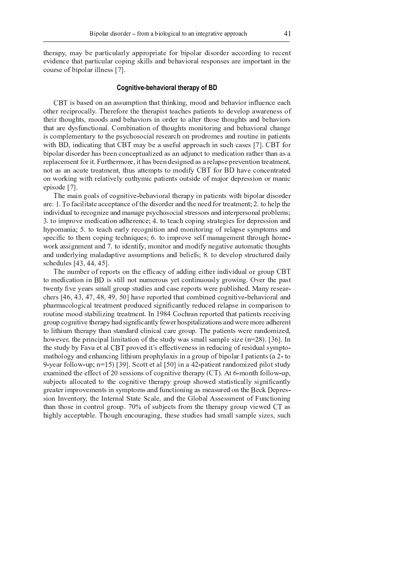therapy, may be particularly appropriate for bipolar disorder according to recent evidence that particular coping skills and behavioral responses are important in the course of bipolar illness [7].

# Cognitive-behavioral therapy of BD

CBT is based on an assumption that thinking, mood and behavior influence each other reciprocally. Therefore the therapist teaches patients to develop awareness of their thoughts, moods and behaviors in order to alter those thoughts and behaviors that are dysfunctional. Combination of thoughts monitoring and behavioral change is complementary to the psychosocial research on prodromes and routine in patients with BD, indicating that CBT may be a useful approach in such cases [7]. CBT for bipolar disorder has been conceptualized as an adjunct to medication rather than as a replacement for it. Furthermore, it has been designed as a relapse prevention treatment, not as an acute treatment, thus attempts to modify CBT for BD have concentrated on working with relatively euthymic patients outside of major depression or manic episode [7].

The main goals of cognitive-behavioral therapy in patients with bipolar disorder are: 1. To facilitate acceptance of the disorder and the need for treatment; 2. to help the individual to recognize and manage psychosocial stressors and interpersonal problems; 3. to improve medication adherence; 4. to teach coping strategies for depression and hypomania; 5. to teach early recognition and monitoring of relapse symptoms and specific to them coping techniques; 6. to improve self management through homework assignment and 7. to identify, monitor and modify negative automatic thoughts and underlying maladaptive assumptions and beliefs; 8. to develop structured daily schedules [43, 44, 45].

The number of reports on the efficacy of adding either individual or group CBT to medication in BD is still not numerous yet continuously growing. Over the past twenty five years small group studies and case reports were published. Many researchers  $[46, 43, 47, 48, 49, 50]$  have reported that combined cognitive-behavioral and pharmacological treatment produced significantly reduced relapse in comparison to routine mood stabilizing treatment. In 1984 Cochran reported that patients receiving group cognitive therapy had significantly fewer hospitalizations and were more adherent to lithium therapy than standard clinical care group. The patients were randomized, however, the principal limitation of the study was small sample size  $(n=28)$ . [36]. In the study by Fava et al CBT proved it's effectiveness in reducing of residual symptomathology and enhancing lithium prophylaxis in a group of bipolar I patients (a 2-to 9-year follow-up;  $n=15$  [39]. Scott et al [50] in a 42-patient randomized pilot study examined the effect of 20 sessions of cognitive therapy  $(CT)$ . At 6-month follow-up, subjects allocated to the cognitive therapy group showed statistically significantly greater improvements in symptoms and functioning as measured on the Beck Depression Inventory, the Internal State Scale, and the Global Assessment of Functioning than those in control group. 70% of subjects from the therapy group viewed CT as highly acceptable. Though encouraging, these studies had small sample sizes, such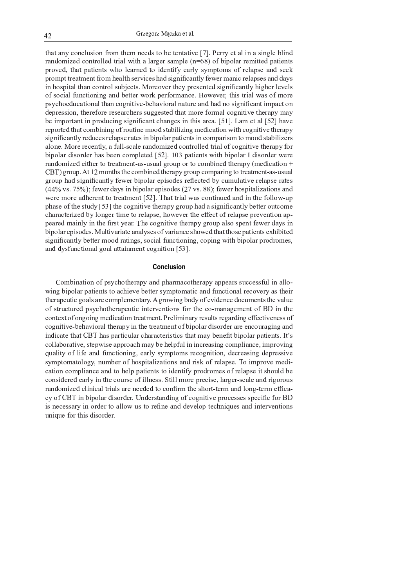that any conclusion from them needs to be tentative [7]. Perry et al in a single blind randomized controlled trial with a larger sample  $(n=68)$  of bipolar remitted patients proved, that patients who learned to identify early symptoms of relapse and seek prompt treatment from health services had significantly fewer manic relapses and days in hospital than control subjects. Moreover they presented significantly higher levels of social functioning and better work performance. However, this trial was of more psychoeducational than cognitive-behavioral nature and had no significant impact on depression, therefore researchers suggested that more formal cognitive therapy may be important in producing significant changes in this area. [51], Lam et al [52] have reported that combining of routine mood stabilizing medication with cognitive therapy significantly reduces relapse rates in bipolar patients in comparison to mood stabilizers alone. More recently, a full-scale randomized controlled trial of cognitive therapy for bipolar disorder has been completed [52]. 103 patients with bipolar I disorder were randomized either to treatment-as-usual group or to combined therapy (medication + CBT) group. At 12 months the combined therapy group comparing to treatment-as-usual group had significantly fewer bipolar episodes reflected by cumulative relapse rates  $(44\% \text{ vs. } 75\%)$ ; fewer days in bipolar episodes (27 vs. 88); fewer hospitalizations and were more adherent to treatment [52]. That trial was continued and in the follow-up phase of the study [53] the cognitive therapy group had a significantly better outcome characterized by longer time to relapse, however the effect of relapse prevention appeared mainly in the first year. The cognitive therapy group also spent fewer days in bipolar episodes. Multivariate analyses of variance showed that those patients exhibited significantly better mood ratings, social functioning, coping with bipolar prodromes, and dysfunctional goal attainment cognition [53].

# **Conclusion**

Combination of psychotherapy and pharmacotherapy appears successful in allowing bipolar patients to achieve better symptomatic and functional recovery as their therapeutic goals are complementary. A growing body of evidence documents the value of structured psychotherapeutic interventions for the co-management of BD in the context of ongoing medication treatment. Preliminary results regarding effectiveness of cognitive-behavioral therapy in the treatment of bipolar disorder are encouraging and indicate that CBT has particular characteristics that may benefit bipolar patients. It's collaborative, stepwise approach may be helpful in increasing compliance, improving quality of life and functioning, early symptoms recognition, decreasing depressive symptomatology, number of hospitalizations and risk of relapse. To improve medication compliance and to help patients to identify prodromes of relapse it should be considered early in the course of illness. Still more precise, larger-scale and rigorous randomized clinical trials are needed to confirm the short-term and long-term efficacy of CBT in bipolar disorder. Understanding of cognitive processes specific for BD is necessary in order to allow us to refine and develop techniques and interventions unique for this disorder.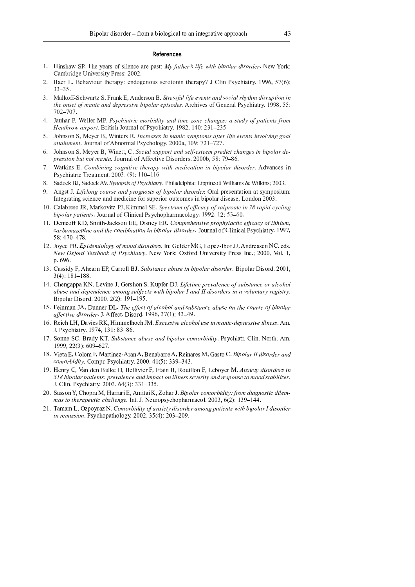#### **References**

- $1$  . Hingherr CD. The regare of cilogen ago posts  $M_2$  father a life with hinglay disorder. Now York r and the set of the second in the second of the second in the second in the second in the second in the second
- <sup>u</sup> <sup>V</sup> <sup>A</sup> <sup>F</sup> <sup>J</sup> <sup>G</sup> <sup>w</sup> <sup>V</sup> <sup>A</sup> <sup>J</sup> <sup>T</sup> <sup>F</sup> <sup>S</sup> <sup>B</sup> <sup>D</sup> <sup>x</sup> <sup>G</sup> <sup>Q</sup> <sup>T</sup> <sup>J</sup> <sup>G</sup> <sup>F</sup> <sup>C</sup> \ ] <sup>J</sup> <sup>R</sup> <sup>H</sup> <sup>D</sup> <sup>O</sup> <sup>J</sup> <sup>R</sup> <sup>D</sup> <sup>x</sup> <sup>I</sup> <sup>I</sup> <sup>J</sup> <sup>G</sup> <sup>D</sup> <sup>Q</sup> <sup>D</sup> <sup>R</sup> <sup>B</sup> <sup>R</sup> <sup>Q</sup> <sup>T</sup> <sup>J</sup> <sup>G</sup> <sup>F</sup> <sup>C</sup> \ <sup>y</sup> <sup>z</sup> <sup>r</sup> <sup>E</sup> <sup>B</sup> <sup>R</sup> <sup>Z</sup> <sup>I</sup> \ <sup>P</sup> <sup>T</sup> <sup>B</sup> <sup>F</sup> <sup>Q</sup> <sup>G</sup> \ <sup>V</sup> <sup>U</sup> { { <sup>|</sup> } <sup>~</sup> <sup>|</sup> ]  $\sim$   $\sim$   $\sim$
- $2$  Molleoff Solvento S. From F. L. Anderson D. Stressful life quarte and social relation diamention is the overt of manie and depressive binelay episodes. A sobiree of Cenesel Devebiatory, 1000, 55.  $\cdots$
- 1. Jouhan D. Wallon MD. Davidiate might die and time ing changes a study of cations fur- $\mu_{\alpha\alpha}$  b compared better and  $\alpha$  Development  $\alpha$  1002  $\alpha$  140. 221 22
- $\mathcal{L}$  . Lebesse C. Merry D. Wintow D. Increases in manic guaratory after life quante involving goal  $\alpha$
- $\epsilon$  . Lohnaan  $\mathbb{C}$  Marron D. Winatt,  $C$ ,  $\mathbb{C}$  , i.e. Lower and solf-actasm musher, honger in him lay do resorge but not mania. Journal of Affootive Disordors, 2000b, 50, 70, 96
- 7. Watking E. Combining cognitive theorem with medication in binolay discuder. Adventor i  $-$  in the second contract of the property of the contract of the contract of the contract of the contract of the contract of the contract of the contract of the contract of the contract of the contract of the contract of
- $\Omega$  Codook DI Sodook AV Syperge of Bayokiatan Dhilodolphio: Linnipeott Williams & Williams 2002
- $\Omega$  begat L. Lifeleye course and pregrate of binolar discusser Orel presentation at example inner ¢ <sup>R</sup> <sup>Q</sup> <sup>J</sup> <sup>O</sup> <sup>G</sup> <sup>F</sup> <sup>Q</sup> <sup>B</sup> <sup>R</sup> <sup>O</sup> <sup>I</sup> <sup>P</sup> <sup>B</sup> <sup>J</sup> <sup>R</sup> <sup>P</sup> <sup>J</sup> <sup>F</sup> <sup>R</sup> <sup>H</sup> <sup>M</sup> <sup>J</sup> <sup>H</sup> <sup>B</sup> <sup>P</sup> <sup>B</sup> <sup>R</sup> <sup>J</sup> <sup>L</sup> <sup>D</sup> <sup>G</sup> <sup>I</sup> <sup>x</sup> <sup>C</sup> <sup>J</sup> <sup>G</sup> <sup>B</sup> <sup>D</sup> <sup>G</sup> <sup>D</sup> <sup>x</sup> <sup>Q</sup> <sup>P</sup> <sup>D</sup> <sup>M</sup> <sup>J</sup> <sup>I</sup> <sup>B</sup> <sup>R</sup> <sup>N</sup> <sup>B</sup> <sup>C</sup> <sup>D</sup> <sup>E</sup> <sup>F</sup> <sup>G</sup> <sup>H</sup> <sup>B</sup> <sup>I</sup> <sup>J</sup> <sup>F</sup> <sup>I</sup> <sup>J</sup> } <sup>w</sup> <sup>D</sup> <sup>R</sup> <sup>H</sup> <sup>D</sup> <sup>R</sup> <sup>u</sup> <sup>v</sup> <sup>v</sup> <sup>V</sup>
- $\overline{P}$  Colomno ID Modernity DJ V immed CE. Construes of effective of values ato in 7.0 usual such the  $h_{\text{inolav}}$  patients. Journal of Clinical Davehorhormesology, 1002, 12:52, 60
- $\mathbb{H}$  Denia off  $V\mathbb{D}$  Smith Lagreen  $\mathbb{E}\mathbb{D}$  Diency  $\mathbb{E}\mathbb{D}$  Compuehensius prophylactic effector of library i guessa e cuius, quel des compiuneiros in biorder discudeur Jerranol of Climical Devekistavy 1007, <sup>~</sup> ] <sup>v</sup> <sup>K</sup> <sup>V</sup>
- $12$  Joyce DD, Enidemiclean of mood discuders In Colder MC. Long Then II, Andreosen MC, edg.  $N_{\text{QU}}$   $\Omega$   $\mathbf{r}$   $\mathbf{r}$  arthook of Douglastin, Now Vork: Oxford University Dress Ine : 2000, Vol. 1  $\sim$
- $12$  Cossidy F Aboarn ED Corroll DJ Substance abuse in binolar disorder Dinolar Disord 2001  $\bullet$   $\cdot$   $\bullet$   $\bullet$   $\bullet$   $\bullet$   $\bullet$   $\bullet$   $\bullet$
- $U$  Changenna  $V$  U I aving I Cambon  $V$  V unfor DI Lifetime nuovalauge of substance on glocke abyce and dopendonce among sybiects with binelay I and II disordons in a voluntamy position <sup>A</sup> <sup>B</sup> <sup>C</sup> <sup>D</sup> <sup>E</sup> <sup>F</sup> <sup>G</sup> <sup>B</sup> <sup>I</sup> <sup>D</sup> <sup>G</sup> <sup>H</sup> <sup>V</sup> <sup>u</sup> <sup>v</sup> <sup>v</sup> <sup>v</sup> } <sup>u</sup> <sup>u</sup> ] <sup>U</sup> { <sup>U</sup> <sup>K</sup> <sup>U</sup> { <sup>~</sup> <sup>V</sup>
- $\mathbb{E}$  Definition  $\mathbb{E}$  Definition of the probability of the course of binology  $\alpha$  formalization I Affect Discord 1006 27(1), 42 40
- $\mathcal{L}$  Deigh LU Devise DV, Himmelbook M, Executive alcohol we in manie depressive illuses, Am  $\mathbf{v}$  , and a complete the boom of the boom of the boom of the boom of the boom of the boom of the boom of the boom of the boom of the boom of the boom of the boom of the boom of the boom of the boom of the boom of the
- $17$  Sanna SC, Duady VT, Subatanga abuga and binalay samaybidity. Davabiatu Clin, Nauth, Am  $\overline{\phantom{a}}$   $\overline{\phantom{a}}$   $\overline{\phantom{a}}$   $\overline{\phantom{a}}$   $\overline{\phantom{a}}$   $\overline{\phantom{a}}$   $\overline{\phantom{a}}$   $\overline{\phantom{a}}$   $\overline{\phantom{a}}$   $\overline{\phantom{a}}$   $\overline{\phantom{a}}$   $\overline{\phantom{a}}$   $\overline{\phantom{a}}$   $\overline{\phantom{a}}$   $\overline{\phantom{a}}$   $\overline{\phantom{a}}$   $\overline{\phantom{a}}$   $\overline{\phantom{a}}$   $\overline{\$
- $10\,$   $\rm U$  ,  $\rm P$   $\rm O$   $\rm I$   $\rm I$   $\rm H$   $\rm N}$   $\rm I$   $\rm I$   $\rm I$   $\rm I$   $\rm I$   $\rm I$   $\rm I$   $\rm I$   $\rm I$   $\rm I$   $\rm I$   $\rm I$   $\rm I$   $\rm I$   $\rm I$   $\rm I$   $\rm I$   $\rm I$   $\rm I$   $\rm I$   $\rm I$   $\rm I$   $\rm I$   $\rm I$   $\rm I$   $\rm I$   $\rm I$   $\rm I$   $comoubidin$ . Comm. Devekiatur. 2000.  $41(5), 220, 242$
- $10$  Howev C, Van den Dullie D, Bollivian E, Frain D, Bouillon E, Laborrar M, Annight disorders is 210 kin clay patients puncture and input in illuser consuming and you are to meed at this or z ryk med die began die begin op die begin die begin die begin die begin die begin die begin die begin die beg
- $20.$  Second V Change M Hannui E Amitai V Zahan L Binalay samarki ditu fuam diagnostic dilam mas to though outin challenge. Let I Mounanavake thermocool  $2002.6(2)$ ,  $120.144$
- 21 Tomam I, Oznovecz M, Comarbidity of anxiety disorder among patients with binolar I disorder  $\mu$  remission. Developed below: 2002-25(4): 202-200.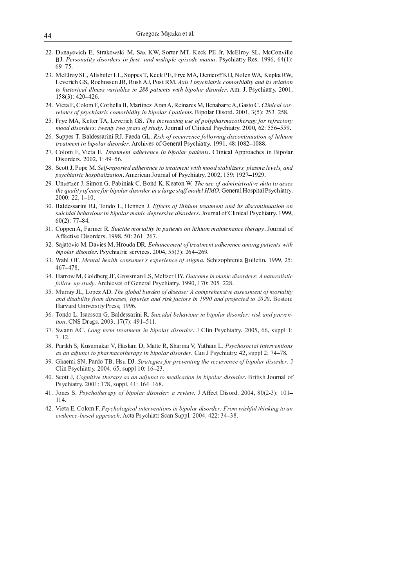- 22. Dunayevich E, Strakowski M, Sax KW, Sorter MT, Keck PE Jr, McElroy SL, McConville BJ. Personality disorders in first- and multiple-episode mania. Psychiatry Res. 1996, 64(1):  $69 - 75$ .
- 23. McElroy SL, Altshuler LL, Suppes T, Keck PE, Frye MA, Denicoff KD, Nolen WA, Kupka RW, Leverich GS, Rochussen JR, Rush AJ, Post RM, Axis I psychiatric comorbidity and its relation to historical illness variables in 288 patients with bipolar disorder. Am. J. Psychiatry. 2001, 158(3): 420-426.
- 24. Vieta E, Colom F, Corbella B, Martinez-Aran A, Reinares M, Benabarre A, Gasto C. Clinical cor*relates of psychiatric comorbidity in bipolar I patients.* Bipolar Disord.  $2001$ ,  $3(5)$ :  $253-258$ .
- 25. Frye MA, Ketter TA, Leverich GS. The increasing use of polypharmacotherapy for refractory mood disorders: twenty two years of study. Journal of Clinical Psychiatry. 2000, 62: 556–559.
- 26. Suppes T, Baldessarini RJ, Faeda GL. Risk of recurrence following discontinuation of lithium treatment in bipolar disorder. Archives of General Psychiatry. 1991, 48:1082-1088.
- 27. Colom F, Vieta E. Treatment adherence in bipolar patients. Clinical Approaches in Bipolar Disorders. 2002, 1:49-56.
- 28. Scott J, Pope M. Self-reported adherence to treatment with mood stabilizers, plasma levels, and *psychiatric hospitalization.* American Journal of Psychiatry. 2002, 159: 1927–1929.
- 29. Unuetzer J, Simon G, Pabiniak C, Bond K, Keaton W. The use of administrative data to asses the quality of care for bipolar disorder in a large staff model HMO. General Hospital Psychiatry.  $2000:22, 1-10.$
- 30. Baldessarini RJ, Tondo L, Hennen J. Effects of lithium treatment and its discontinuation on suicidal behaviour in bipolar manic-depressive disorders. Journal of Clinical Psychiatry. 1999,  $60(2)$ : 77-84.
- 31. Coppen A, Farmer R. Suicide mortality in patients on lithium maintenance therapy. Journal of Affective Disorders. 1998, 50: 261-267.
- 32. Sajatovic M, Davies M, Hrouda DR. Enhancement of treatment adherence among patients with bipolar disorder. Psychiatric services. 2004, 55(3): 264-269.
- 33. Wahl OF. Mental health consumer's experience of stigma. Schizophrenia Bulletin. 1999, 25:  $467 - 478$
- 34. Harrow M, Goldberg JF, Grossman LS, Meltzer HY. Outcome in manic disorders: A naturalistic follow-up study. Archieves of General Psychiatry. 1990, 170: 205-228.
- 35. Murray JL, Lopez AD. The global burden of disease: A comprehensive assessment of mortality and disability from diseases, injuries and risk factors in 1990 and projected to 2020. Boston: Harvard University Press; 1996.
- 36. Tondo L, Isacsson G, Baldessarini R. Suicidal behaviour in bipolar disorder: risk and prevention. CNS Drugs. 2003, 17(7): 491-511.
- 37. Swann AC. Long-term treatment in bipolar disorder. J Clin Psychiatry. 2005, 66, suppl 1:  $7 - 12$ .
- 38. Parikh S, Kusumakar V, Haslam D, Matte R, Sharma V, Yatham L. Psychosocial interventions as an adjunct to pharmacotherapy in bipolar disorder. Can J Psychiatry. 42, suppl 2: 74–78.
- 39. Ghaemi SN, Pardo TB, Hsu DJ. Strategies for preventing the recurrence of bipolar disorder. J Clin Psychiatry. 2004, 65, suppl 10: 16-23.
- 40. Scott J, Cognitive therapy as an adjunct to medication in bipolar disorder. British Journal of Psychiatry. 2001: 178, suppl. 41: 164-168.
- 41. Jones S. Psychotherapy of bipolar disorder: a review. J Affect Disord. 2004, 80(2-3): 101-114.
- 42. Vieta E, Colom F, Psychological interventions in bipolar disorder: From wishful thinking to an evidence-based approach. Acta Psychiatr Scan Suppl. 2004, 422: 34-38.